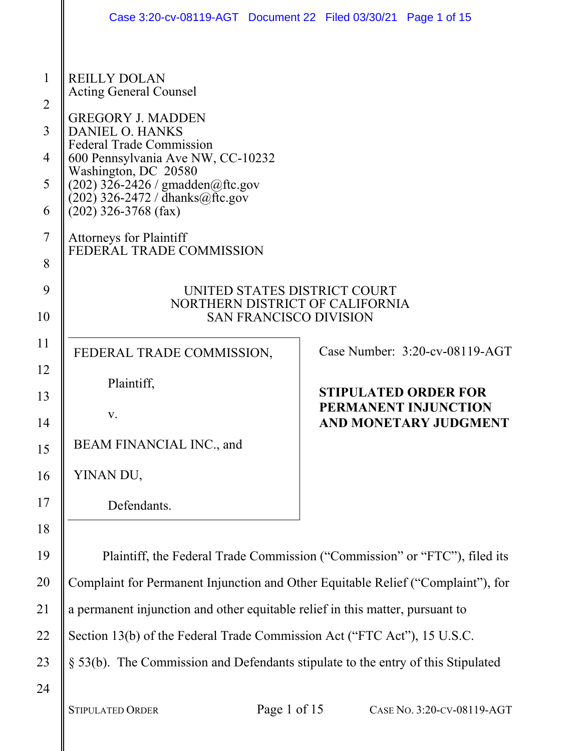|                                                   | Case 3:20-cv-08119-AGT  Document 22  Filed 03/30/21  Page 1 of 15                                                                                                                                                                                                                                                                                                             |  |                                               |                                   |
|---------------------------------------------------|-------------------------------------------------------------------------------------------------------------------------------------------------------------------------------------------------------------------------------------------------------------------------------------------------------------------------------------------------------------------------------|--|-----------------------------------------------|-----------------------------------|
| 1<br>$\overline{2}$<br>3<br>4<br>5<br>6<br>7<br>8 | <b>REILLY DOLAN</b><br><b>Acting General Counsel</b><br><b>GREGORY J. MADDEN</b><br><b>DANIEL O. HANKS</b><br><b>Federal Trade Commission</b><br>600 Pennsylvania Ave NW, CC-10232<br>Washington, DC 20580<br>$(202)$ 326-2426 / gmadden@ftc.gov<br>$(202)$ 326-2472 / dhanks@ftc.gov<br>$(202)$ 326-3768 (fax)<br><b>Attorneys for Plaintiff</b><br>FEDERAL TRADE COMMISSION |  |                                               |                                   |
| 9                                                 | UNITED STATES DISTRICT COURT<br>NORTHERN DISTRICT OF CALIFORNIA                                                                                                                                                                                                                                                                                                               |  |                                               |                                   |
| 10                                                | <b>SAN FRANCISCO DIVISION</b>                                                                                                                                                                                                                                                                                                                                                 |  |                                               |                                   |
| 11                                                | FEDERAL TRADE COMMISSION,                                                                                                                                                                                                                                                                                                                                                     |  |                                               | Case Number: $3:20$ -cv-08119-AGT |
| 12                                                | Plaintiff,                                                                                                                                                                                                                                                                                                                                                                    |  | <b>STIPULATED ORDER FOR</b>                   |                                   |
| 13<br>14                                          | V.                                                                                                                                                                                                                                                                                                                                                                            |  | PERMANENT INJUNCTION<br>AND MONETARY JUDGMENT |                                   |
| 15                                                | BEAM FINANCIAL INC., and                                                                                                                                                                                                                                                                                                                                                      |  |                                               |                                   |
| 16                                                | YINAN DU,                                                                                                                                                                                                                                                                                                                                                                     |  |                                               |                                   |
| 17                                                | Defendants.                                                                                                                                                                                                                                                                                                                                                                   |  |                                               |                                   |
| 18                                                |                                                                                                                                                                                                                                                                                                                                                                               |  |                                               |                                   |
| 19                                                | Plaintiff, the Federal Trade Commission ("Commission" or "FTC"), filed its                                                                                                                                                                                                                                                                                                    |  |                                               |                                   |
| 20                                                | Complaint for Permanent Injunction and Other Equitable Relief ("Complaint"), for                                                                                                                                                                                                                                                                                              |  |                                               |                                   |
| 21                                                | a permanent injunction and other equitable relief in this matter, pursuant to                                                                                                                                                                                                                                                                                                 |  |                                               |                                   |
| 22                                                | Section 13(b) of the Federal Trade Commission Act ("FTC Act"), 15 U.S.C.                                                                                                                                                                                                                                                                                                      |  |                                               |                                   |
| 23                                                | § 53(b). The Commission and Defendants stipulate to the entry of this Stipulated                                                                                                                                                                                                                                                                                              |  |                                               |                                   |
| 24                                                |                                                                                                                                                                                                                                                                                                                                                                               |  |                                               |                                   |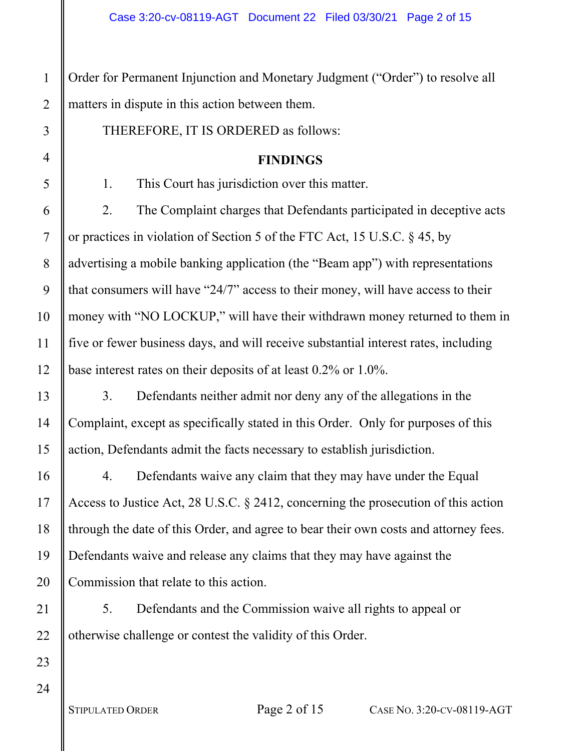Order for Permanent Injunction and Monetary Judgment ("Order") to resolve all matters in dispute in this action between them.

THEREFORE, IT IS ORDERED as follows:

#### **FINDINGS**

1. This Court has jurisdiction over this matter.

2. The Complaint charges that Defendants participated in deceptive acts or practices in violation of Section 5 of the FTC Act, 15 U.S.C. § 45, by advertising a mobile banking application (the "Beam app") with representations that consumers will have "24/7" access to their money, will have access to their money with "NO LOCKUP," will have their withdrawn money returned to them in five or fewer business days, and will receive substantial interest rates, including base interest rates on their deposits of at least 0.2% or 1.0%.

3. Defendants neither admit nor deny any of the allegations in the Complaint, except as specifically stated in this Order. Only for purposes of this action, Defendants admit the facts necessary to establish jurisdiction.

4. Defendants waive any claim that they may have under the Equal Access to Justice Act, 28 U.S.C. § 2412, concerning the prosecution of this action through the date of this Order, and agree to bear their own costs and attorney fees. Defendants waive and release any claims that they may have against the Commission that relate to this action.

5. Defendants and the Commission waive all rights to appeal or otherwise challenge or contest the validity of this Order.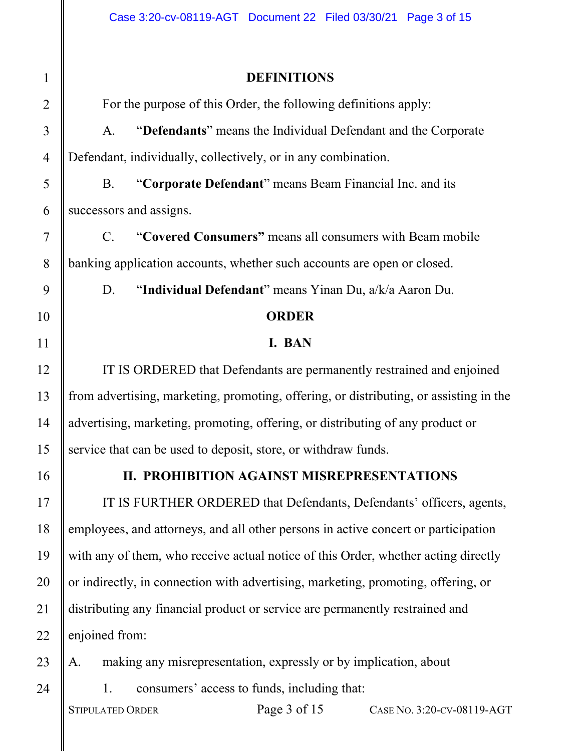# 1 2 3 4 5 6 7 8 9 10 11 12 13 14 15 16 17 18 19 20 21 22 23

# **DEFINITIONS**

For the purpose of this Order, the following definitions apply:

A. "**Defendants**" means the Individual Defendant and the Corporate Defendant, individually, collectively, or in any combination.

B. "**Corporate Defendant**" means Beam Financial Inc. and its successors and assigns.

C. "**Covered Consumers"** means all consumers with Beam mobile banking application accounts, whether such accounts are open or closed.

D. "**Individual Defendant**" means Yinan Du, a/k/a Aaron Du.

#### **ORDER**

#### **I. BAN**

IT IS ORDERED that Defendants are permanently restrained and enjoined from advertising, marketing, promoting, offering, or distributing, or assisting in the advertising, marketing, promoting, offering, or distributing of any product or service that can be used to deposit, store, or withdraw funds.

24

## **II. PROHIBITION AGAINST MISREPRESENTATIONS**

IT IS FURTHER ORDERED that Defendants, Defendants' officers, agents, employees, and attorneys, and all other persons in active concert or participation with any of them, who receive actual notice of this Order, whether acting directly or indirectly, in connection with advertising, marketing, promoting, offering, or distributing any financial product or service are permanently restrained and enjoined from:

A. making any misrepresentation, expressly or by implication, about 1. consumers' access to funds, including that:

STIPULATED ORDER Page 3 of 15 CASE No. 3:20-CV-08119-AGT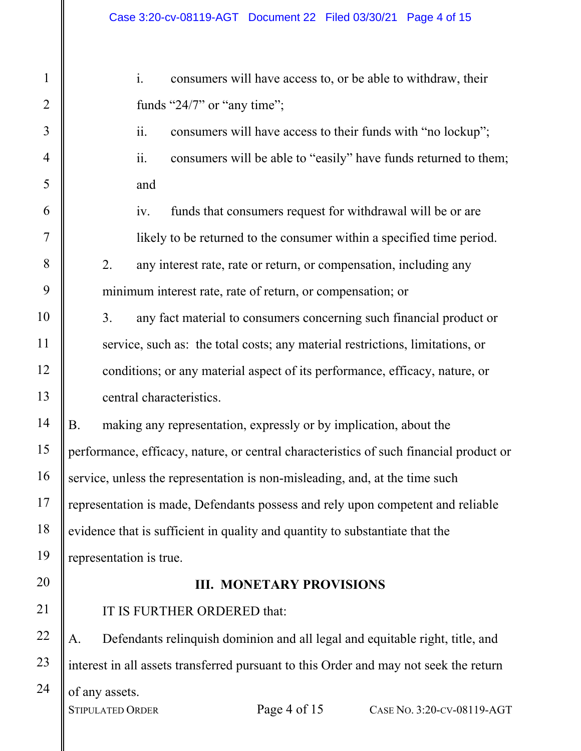24

i. consumers will have access to, or be able to withdraw, their funds "24/7" or "any time";

ii. consumers will have access to their funds with "no lockup"; ii. consumers will be able to "easily" have funds returned to them; and

iv. funds that consumers request for withdrawal will be or are likely to be returned to the consumer within a specified time period.

2. any interest rate, rate or return, or compensation, including any minimum interest rate, rate of return, or compensation; or

3. any fact material to consumers concerning such financial product or service, such as: the total costs; any material restrictions, limitations, or conditions; or any material aspect of its performance, efficacy, nature, or central characteristics.

B. making any representation, expressly or by implication, about the performance, efficacy, nature, or central characteristics of such financial product or service, unless the representation is non-misleading, and, at the time such representation is made, Defendants possess and rely upon competent and reliable evidence that is sufficient in quality and quantity to substantiate that the representation is true.

#### **III. MONETARY PROVISIONS**

IT IS FURTHER ORDERED that:

A. Defendants relinquish dominion and all legal and equitable right, title, and interest in all assets transferred pursuant to this Order and may not seek the return of any assets. STIPULATED ORDER Page 4 of 15 CASE No. 3:20-CV-08119-AGT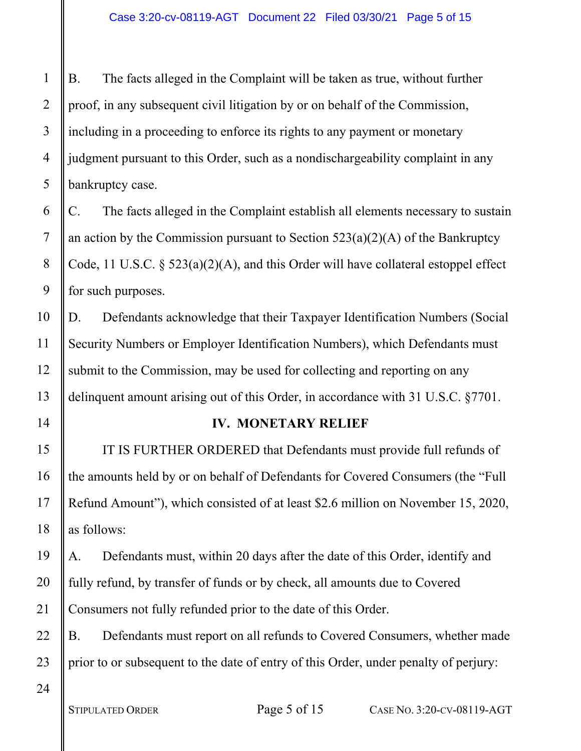B. The facts alleged in the Complaint will be taken as true, without further proof, in any subsequent civil litigation by or on behalf of the Commission, including in a proceeding to enforce its rights to any payment or monetary judgment pursuant to this Order, such as a nondischargeability complaint in any bankruptcy case.

C. The facts alleged in the Complaint establish all elements necessary to sustain an action by the Commission pursuant to Section  $523(a)(2)(A)$  of the Bankruptcy Code, 11 U.S.C. § 523(a)(2)(A), and this Order will have collateral estoppel effect for such purposes.

D. Defendants acknowledge that their Taxpayer Identification Numbers (Social Security Numbers or Employer Identification Numbers), which Defendants must submit to the Commission, may be used for collecting and reporting on any delinquent amount arising out of this Order, in accordance with 31 U.S.C. §7701.

## **IV. MONETARY RELIEF**

IT IS FURTHER ORDERED that Defendants must provide full refunds of the amounts held by or on behalf of Defendants for Covered Consumers (the "Full Refund Amount"), which consisted of at least \$2.6 million on November 15, 2020, as follows:

A. Defendants must, within 20 days after the date of this Order, identify and fully refund, by transfer of funds or by check, all amounts due to Covered Consumers not fully refunded prior to the date of this Order.

B. Defendants must report on all refunds to Covered Consumers, whether made prior to or subsequent to the date of entry of this Order, under penalty of perjury:

1

2

3

4

5

6

7

8

9

10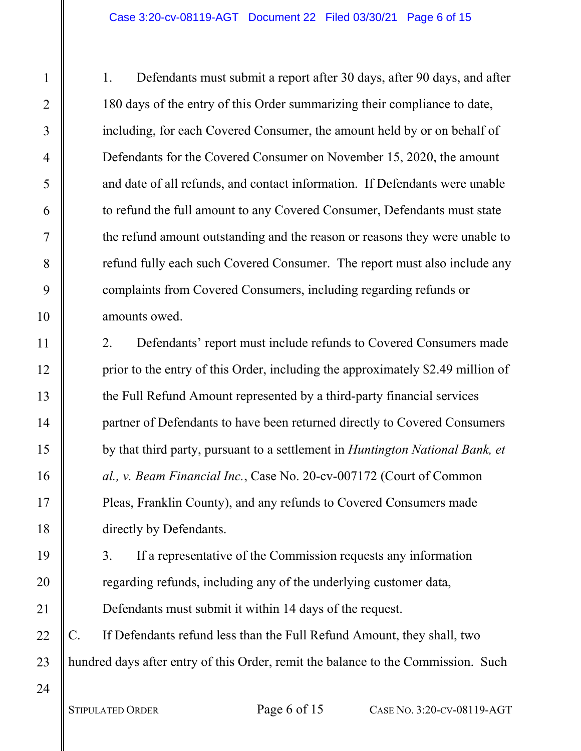1. Defendants must submit a report after 30 days, after 90 days, and after 180 days of the entry of this Order summarizing their compliance to date, including, for each Covered Consumer, the amount held by or on behalf of Defendants for the Covered Consumer on November 15, 2020, the amount and date of all refunds, and contact information. If Defendants were unable to refund the full amount to any Covered Consumer, Defendants must state the refund amount outstanding and the reason or reasons they were unable to refund fully each such Covered Consumer. The report must also include any complaints from Covered Consumers, including regarding refunds or amounts owed.

2. Defendants' report must include refunds to Covered Consumers made prior to the entry of this Order, including the approximately \$2.49 million of the Full Refund Amount represented by a third-party financial services partner of Defendants to have been returned directly to Covered Consumers by that third party, pursuant to a settlement in *Huntington National Bank, et al., v. Beam Financial Inc.*, Case No. 20-cv-007172 (Court of Common Pleas, Franklin County), and any refunds to Covered Consumers made directly by Defendants.

3. If a representative of the Commission requests any information regarding refunds, including any of the underlying customer data, Defendants must submit it within 14 days of the request.

C. If Defendants refund less than the Full Refund Amount, they shall, two hundred days after entry of this Order, remit the balance to the Commission. Such

23 24

1

2

3

4

5

6

7

8

9

10

11

12

13

14

15

16

17

18

19

20

21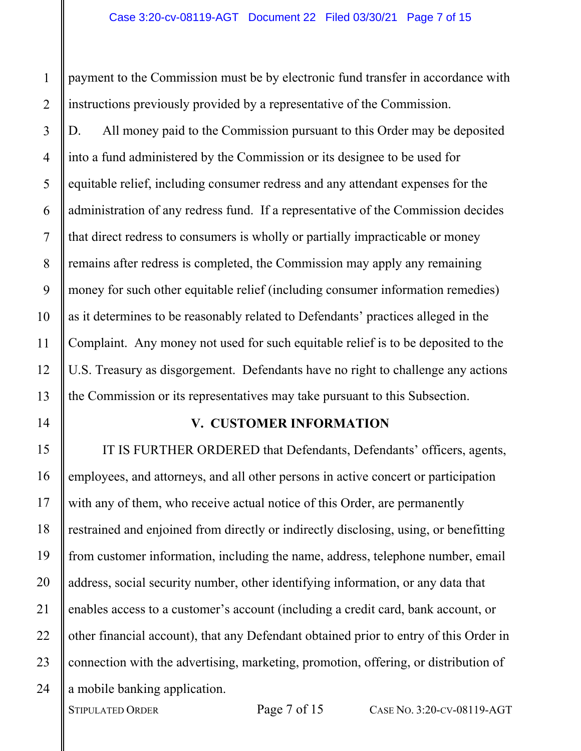payment to the Commission must be by electronic fund transfer in accordance with instructions previously provided by a representative of the Commission.

D. All money paid to the Commission pursuant to this Order may be deposited into a fund administered by the Commission or its designee to be used for equitable relief, including consumer redress and any attendant expenses for the administration of any redress fund. If a representative of the Commission decides that direct redress to consumers is wholly or partially impracticable or money remains after redress is completed, the Commission may apply any remaining money for such other equitable relief (including consumer information remedies) as it determines to be reasonably related to Defendants' practices alleged in the Complaint. Any money not used for such equitable relief is to be deposited to the U.S. Treasury as disgorgement. Defendants have no right to challenge any actions the Commission or its representatives may take pursuant to this Subsection.

#### **V. CUSTOMER INFORMATION**

IT IS FURTHER ORDERED that Defendants, Defendants' officers, agents, employees, and attorneys, and all other persons in active concert or participation with any of them, who receive actual notice of this Order, are permanently restrained and enjoined from directly or indirectly disclosing, using, or benefitting from customer information, including the name, address, telephone number, email address, social security number, other identifying information, or any data that enables access to a customer's account (including a credit card, bank account, or other financial account), that any Defendant obtained prior to entry of this Order in connection with the advertising, marketing, promotion, offering, or distribution of a mobile banking application.

22

23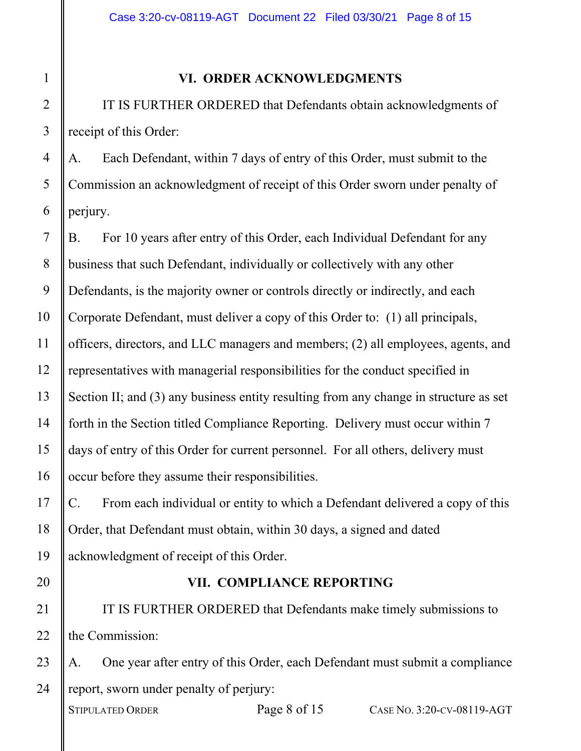#### **VI. ORDER ACKNOWLEDGMENTS**

IT IS FURTHER ORDERED that Defendants obtain acknowledgments of receipt of this Order:

4 5 6 A. Each Defendant, within 7 days of entry of this Order, must submit to the Commission an acknowledgment of receipt of this Order sworn under penalty of perjury.

7 8 9 10 11 12 13 14 15 16 B. For 10 years after entry of this Order, each Individual Defendant for any business that such Defendant, individually or collectively with any other Defendants, is the majority owner or controls directly or indirectly, and each Corporate Defendant, must deliver a copy of this Order to: (1) all principals, officers, directors, and LLC managers and members; (2) all employees, agents, and representatives with managerial responsibilities for the conduct specified in Section II; and (3) any business entity resulting from any change in structure as set forth in the Section titled Compliance Reporting. Delivery must occur within 7 days of entry of this Order for current personnel. For all others, delivery must occur before they assume their responsibilities.

C. From each individual or entity to which a Defendant delivered a copy of this Order, that Defendant must obtain, within 30 days, a signed and dated acknowledgment of receipt of this Order.

20

21

22

17

18

19

1

2

3

## **VII. COMPLIANCE REPORTING**

IT IS FURTHER ORDERED that Defendants make timely submissions to the Commission:

23 24 A. One year after entry of this Order, each Defendant must submit a compliance report, sworn under penalty of perjury: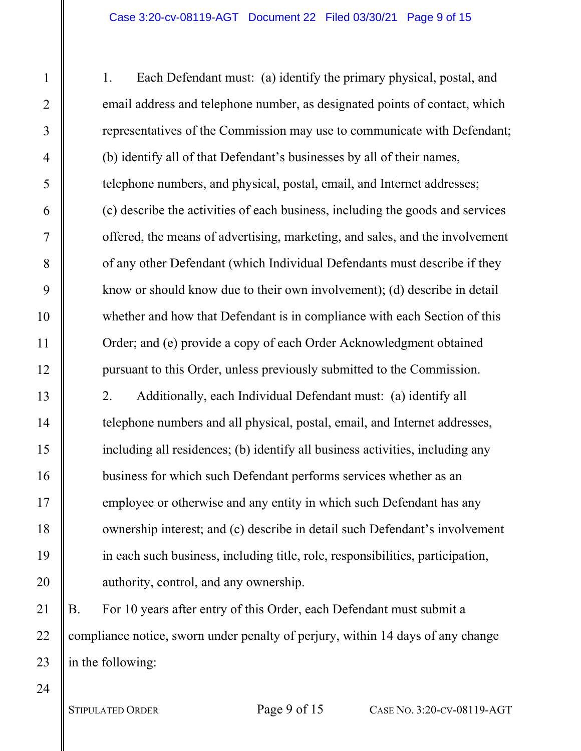1. Each Defendant must: (a) identify the primary physical, postal, and email address and telephone number, as designated points of contact, which representatives of the Commission may use to communicate with Defendant; (b) identify all of that Defendant's businesses by all of their names, telephone numbers, and physical, postal, email, and Internet addresses; (c) describe the activities of each business, including the goods and services offered, the means of advertising, marketing, and sales, and the involvement of any other Defendant (which Individual Defendants must describe if they know or should know due to their own involvement); (d) describe in detail whether and how that Defendant is in compliance with each Section of this Order; and (e) provide a copy of each Order Acknowledgment obtained pursuant to this Order, unless previously submitted to the Commission. 2. Additionally, each Individual Defendant must: (a) identify all telephone numbers and all physical, postal, email, and Internet addresses, including all residences; (b) identify all business activities, including any business for which such Defendant performs services whether as an employee or otherwise and any entity in which such Defendant has any ownership interest; and (c) describe in detail such Defendant's involvement in each such business, including title, role, responsibilities, participation, authority, control, and any ownership.

B. For 10 years after entry of this Order, each Defendant must submit a compliance notice, sworn under penalty of perjury, within 14 days of any change in the following:

1

2

3

4

5

6

7

8

9

10

11

12

13

14

15

16

17

18

19

20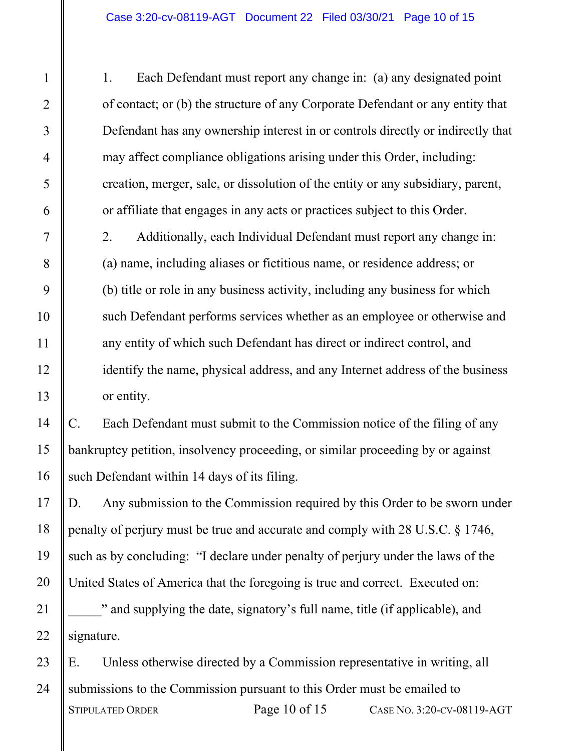1. Each Defendant must report any change in: (a) any designated point of contact; or (b) the structure of any Corporate Defendant or any entity that Defendant has any ownership interest in or controls directly or indirectly that may affect compliance obligations arising under this Order, including: creation, merger, sale, or dissolution of the entity or any subsidiary, parent, or affiliate that engages in any acts or practices subject to this Order.

2. Additionally, each Individual Defendant must report any change in: (a) name, including aliases or fictitious name, or residence address; or (b) title or role in any business activity, including any business for which such Defendant performs services whether as an employee or otherwise and any entity of which such Defendant has direct or indirect control, and identify the name, physical address, and any Internet address of the business or entity.

C. Each Defendant must submit to the Commission notice of the filing of any bankruptcy petition, insolvency proceeding, or similar proceeding by or against such Defendant within 14 days of its filing.

D. Any submission to the Commission required by this Order to be sworn under penalty of perjury must be true and accurate and comply with 28 U.S.C. § 1746, such as by concluding: "I declare under penalty of perjury under the laws of the United States of America that the foregoing is true and correct. Executed on: \_\_\_\_\_" and supplying the date, signatory's full name, title (if applicable), and signature.

E. Unless otherwise directed by a Commission representative in writing, all submissions to the Commission pursuant to this Order must be emailed to STIPULATED ORDER Page 10 of 15 CASE No. 3:20-CV-08119-AGT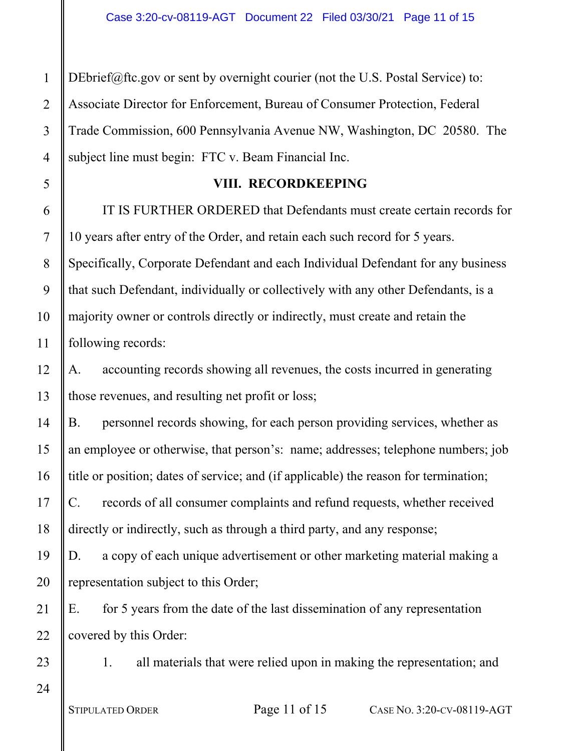4 [DEbrief@ftc.gov](mailto:DEbrief@ftc.gov) or sent by overnight courier (not the U.S. Postal Service) to: Associate Director for Enforcement, Bureau of Consumer Protection, Federal Trade Commission, 600 Pennsylvania Avenue NW, Washington, DC 20580. The subject line must begin: FTC v. Beam Financial Inc.

## **VIII. RECORDKEEPING**

IT IS FURTHER ORDERED that Defendants must create certain records for 10 years after entry of the Order, and retain each such record for 5 years. Specifically, Corporate Defendant and each Individual Defendant for any business that such Defendant, individually or collectively with any other Defendants, is a majority owner or controls directly or indirectly, must create and retain the following records:

A. accounting records showing all revenues, the costs incurred in generating those revenues, and resulting net profit or loss;

B. personnel records showing, for each person providing services, whether as an employee or otherwise, that person's: name; addresses; telephone numbers; job title or position; dates of service; and (if applicable) the reason for termination;

C. records of all consumer complaints and refund requests, whether received directly or indirectly, such as through a third party, and any response;

D. a copy of each unique advertisement or other marketing material making a representation subject to this Order;

22 E. for 5 years from the date of the last dissemination of any representation covered by this Order:

23

24

1

2

3

5

6

7

8

9

10

11

12

13

14

15

16

17

18

19

20

21

1. all materials that were relied upon in making the representation; and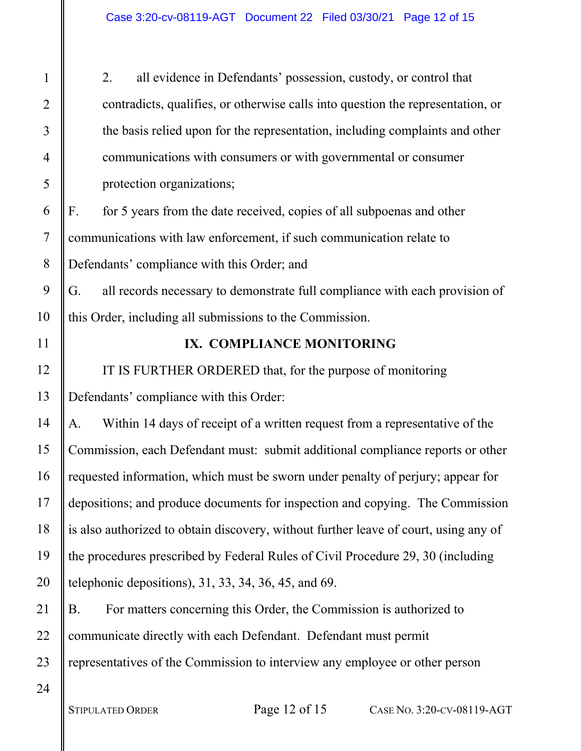2. all evidence in Defendants' possession, custody, or control that contradicts, qualifies, or otherwise calls into question the representation, or the basis relied upon for the representation, including complaints and other communications with consumers or with governmental or consumer protection organizations;

F. for 5 years from the date received, copies of all subpoenas and other communications with law enforcement, if such communication relate to Defendants' compliance with this Order; and

G. all records necessary to demonstrate full compliance with each provision of this Order, including all submissions to the Commission.

11

12

13

14

15

16

17

18

19

20

1

2

3

4

5

6

7

8

9

10

## **IX. COMPLIANCE MONITORING**

IT IS FURTHER ORDERED that, for the purpose of monitoring Defendants' compliance with this Order:

A. Within 14 days of receipt of a written request from a representative of the Commission, each Defendant must: submit additional compliance reports or other requested information, which must be sworn under penalty of perjury; appear for depositions; and produce documents for inspection and copying. The Commission is also authorized to obtain discovery, without further leave of court, using any of the procedures prescribed by Federal Rules of Civil Procedure 29, 30 (including telephonic depositions), 31, 33, 34, 36, 45, and 69.

21 22 23 B. For matters concerning this Order, the Commission is authorized to communicate directly with each Defendant. Defendant must permit representatives of the Commission to interview any employee or other person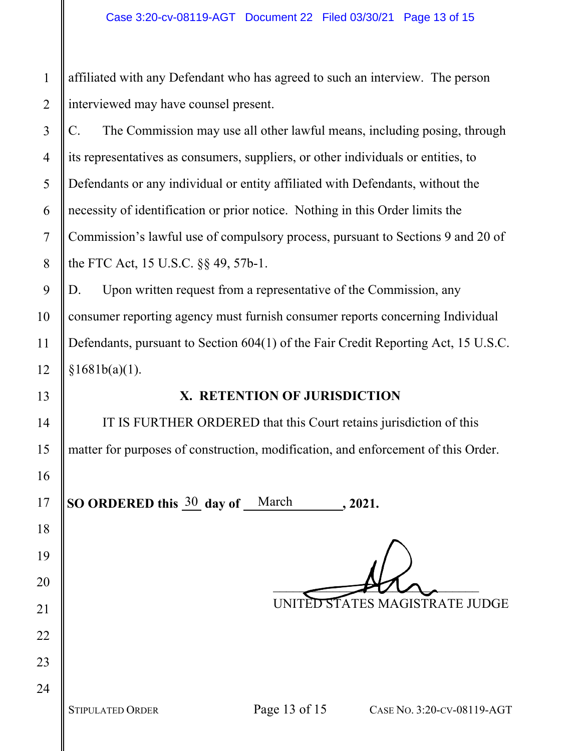1 2 affiliated with any Defendant who has agreed to such an interview. The person interviewed may have counsel present.

3 4 5 6 7 8 C. The Commission may use all other lawful means, including posing, through its representatives as consumers, suppliers, or other individuals or entities, to Defendants or any individual or entity affiliated with Defendants, without the necessity of identification or prior notice. Nothing in this Order limits the Commission's lawful use of compulsory process, pursuant to Sections 9 and 20 of the FTC Act, 15 U.S.C. §§ 49, 57b-1.

D. Upon written request from a representative of the Commission, any consumer reporting agency must furnish consumer reports concerning Individual Defendants, pursuant to Section 604(1) of the Fair Credit Reporting Act, 15 U.S.C.  $§1681b(a)(1).$ 

## **X. RETENTION OF JURISDICTION**

IT IS FURTHER ORDERED that this Court retains jurisdiction of this matter for purposes of construction, modification, and enforcement of this Order.

**SO ORDERED this**  $\frac{30}{2}$  **day of**  $\frac{March}{1}$ **, 2021.** 

 $\longrightarrow$ UNITED STATES MAGISTRATE JUDGE

9

10

11

12

13

14

15

16

17

18

19

20

21

22

23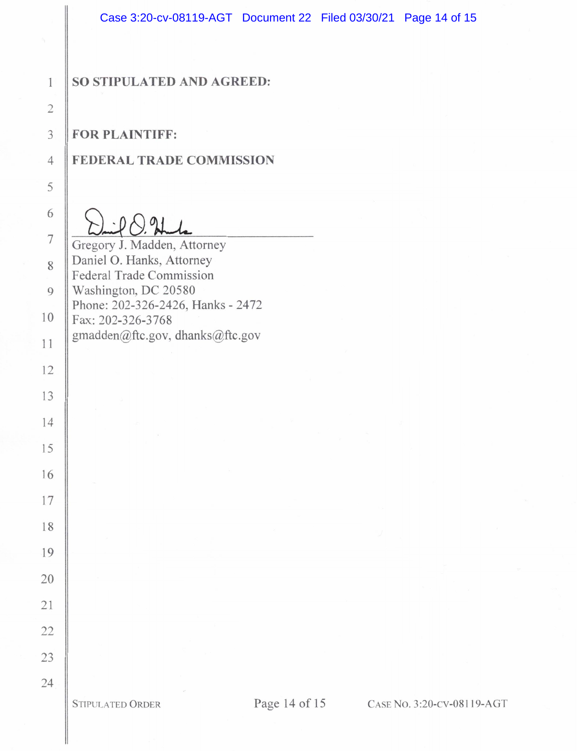#### SO STIPULATED AND AGREED:

**FOR PLAINTIFF:** 

#### **FEDERAL TRADE COMMISSION**

Gregory J. Madden, Attorney Daniel O. Hanks, Attorney Federal Trade Commission Washington, DC 20580 Phone: 202-326-2426, Hanks - 2472 Fax: 202-326-3768 gmadden@ftc.gov, dhanks@ftc.gov

**STIPULATED ORDER** 

Page 14 of 15 CASE No. 3:20-CV-08119-AGT